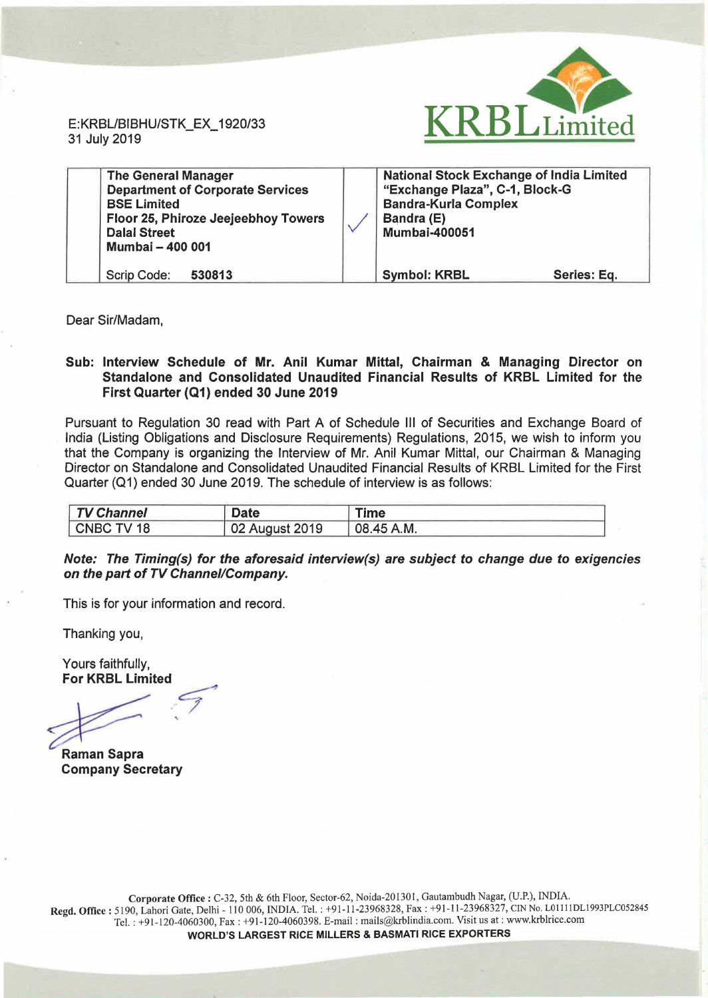E:KRBL/BIBHU/STK\_EX\_ 1920/33 31 July 2019



| <b>The General Manager</b><br><b>Department of Corporate Services</b><br><b>BSE Limited</b><br>Floor 25, Phiroze Jeejeebhoy Towers<br><b>Dalal Street</b><br>Mumbai - 400 001 | <b>National Stock Exchange of India Limited</b><br>"Exchange Plaza", C-1, Block-G<br><b>Bandra-Kurla Complex</b><br>Bandra (E)<br><b>Mumbai-400051</b> |             |  |
|-------------------------------------------------------------------------------------------------------------------------------------------------------------------------------|--------------------------------------------------------------------------------------------------------------------------------------------------------|-------------|--|
| Scrip Code:<br>530813                                                                                                                                                         | <b>Symbol: KRBL</b>                                                                                                                                    | Series: Eq. |  |

Dear Sir/Madam,

## Sub: Interview Schedule of Mr. Anil Kumar Mittal, Chairman & Managing Director on Standalone and Consolidated Unaudited Financial Results of KRBL Limited for the First Quarter (Q1) ended 30 June 2019

Pursuant to Regulation 30 read with Part A of Schedule Ill of Securities and Exchange Board of India (Listing Obligations and Disclosure Requirements) Regulations, 2015, we wish to inform you that the Company is organizing the Interview of Mr. Anil Kumar Mittal, our Chairman & Managing Director on Standalone and Consolidated Unaudited Financial Results of KRBL Limited for the First Quarter (Q1) ended 30 June 2019. The schedule of interview is as follows:

| <b>TV Channel</b> | <b>Date</b>    | Time          |  |
|-------------------|----------------|---------------|--|
| CNBC TV 18        | 02 August 2019 | $108.45$ A.M. |  |

## Note: The Timing(s) for the aforesaid interview(s) are subject to change due to exigencies on the part of TV Channel/Company.

This is for your information and record.

Thanking you,

Yours faithfully, For KRBL Limited

.7 '

Raman Sapra Company Secretary